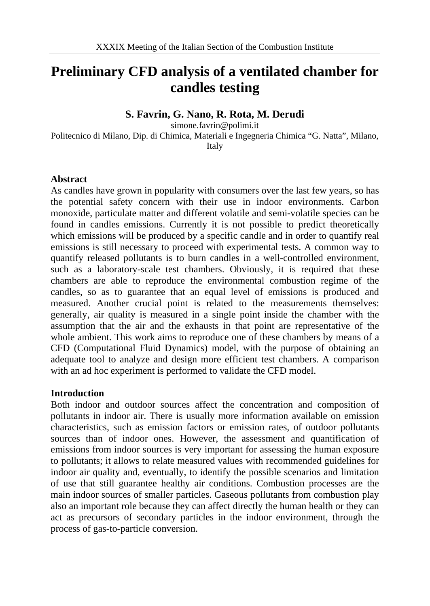# **Preliminary CFD analysis of a ventilated chamber for candles testing**

### **S. Favrin, G. Nano, R. Rota, M. Derudi**

simone.favrin@polimi.it Politecnico di Milano, Dip. di Chimica, Materiali e Ingegneria Chimica "G. Natta", Milano, Italy

#### **Abstract**

As candles have grown in popularity with consumers over the last few years, so has the potential safety concern with their use in indoor environments. Carbon monoxide, particulate matter and different volatile and semi-volatile species can be found in candles emissions. Currently it is not possible to predict theoretically which emissions will be produced by a specific candle and in order to quantify real emissions is still necessary to proceed with experimental tests. A common way to quantify released pollutants is to burn candles in a well-controlled environment, such as a laboratory-scale test chambers. Obviously, it is required that these chambers are able to reproduce the environmental combustion regime of the candles, so as to guarantee that an equal level of emissions is produced and measured. Another crucial point is related to the measurements themselves: generally, air quality is measured in a single point inside the chamber with the assumption that the air and the exhausts in that point are representative of the whole ambient. This work aims to reproduce one of these chambers by means of a CFD (Computational Fluid Dynamics) model, with the purpose of obtaining an adequate tool to analyze and design more efficient test chambers. A comparison with an ad hoc experiment is performed to validate the CFD model.

#### **Introduction**

Both indoor and outdoor sources affect the concentration and composition of pollutants in indoor air. There is usually more information available on emission characteristics, such as emission factors or emission rates, of outdoor pollutants sources than of indoor ones. However, the assessment and quantification of emissions from indoor sources is very important for assessing the human exposure to pollutants; it allows to relate measured values with recommended guidelines for indoor air quality and, eventually, to identify the possible scenarios and limitation of use that still guarantee healthy air conditions. Combustion processes are the main indoor sources of smaller particles. Gaseous pollutants from combustion play also an important role because they can affect directly the human health or they can act as precursors of secondary particles in the indoor environment, through the process of gas-to-particle conversion.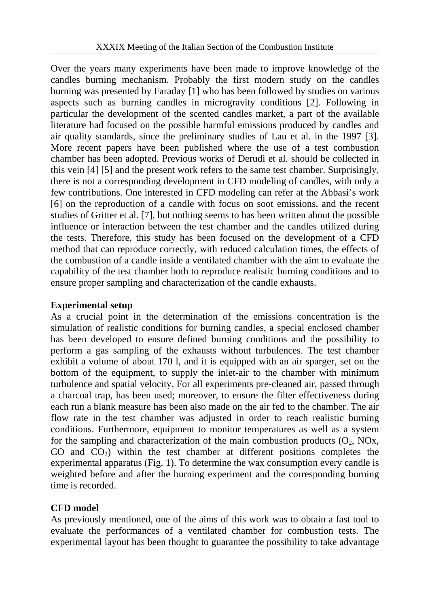Over the years many experiments have been made to improve knowledge of the candles burning mechanism. Probably the first modern study on the candles burning was presented by Faraday [1] who has been followed by studies on various aspects such as burning candles in microgravity conditions [2]. Following in particular the development of the scented candles market, a part of the available literature had focused on the possible harmful emissions produced by candles and air quality standards, since the preliminary studies of Lau et al. in the 1997 [3]. More recent papers have been published where the use of a test combustion chamber has been adopted. Previous works of Derudi et al. should be collected in this vein [4] [5] and the present work refers to the same test chamber. Surprisingly, there is not a corresponding development in CFD modeling of candles, with only a few contributions. One interested in CFD modeling can refer at the Abbasi's work [6] on the reproduction of a candle with focus on soot emissions, and the recent studies of Gritter et al. [7], but nothing seems to has been written about the possible influence or interaction between the test chamber and the candles utilized during the tests. Therefore, this study has been focused on the development of a CFD method that can reproduce correctly, with reduced calculation times, the effects of the combustion of a candle inside a ventilated chamber with the aim to evaluate the capability of the test chamber both to reproduce realistic burning conditions and to ensure proper sampling and characterization of the candle exhausts.

# **Experimental setup**

As a crucial point in the determination of the emissions concentration is the simulation of realistic conditions for burning candles, a special enclosed chamber has been developed to ensure defined burning conditions and the possibility to perform a gas sampling of the exhausts without turbulences. The test chamber exhibit a volume of about 170 l, and it is equipped with an air sparger, set on the bottom of the equipment, to supply the inlet-air to the chamber with minimum turbulence and spatial velocity. For all experiments pre-cleaned air, passed through a charcoal trap, has been used; moreover, to ensure the filter effectiveness during each run a blank measure has been also made on the air fed to the chamber. The air flow rate in the test chamber was adjusted in order to reach realistic burning conditions. Furthermore, equipment to monitor temperatures as well as a system for the sampling and characterization of the main combustion products  $(O_2, NOx,$  $CO$  and  $CO<sub>2</sub>$ ) within the test chamber at different positions completes the experimental apparatus (Fig. 1). To determine the wax consumption every candle is weighted before and after the burning experiment and the corresponding burning time is recorded.

# **CFD model**

As previously mentioned, one of the aims of this work was to obtain a fast tool to evaluate the performances of a ventilated chamber for combustion tests. The experimental layout has been thought to guarantee the possibility to take advantage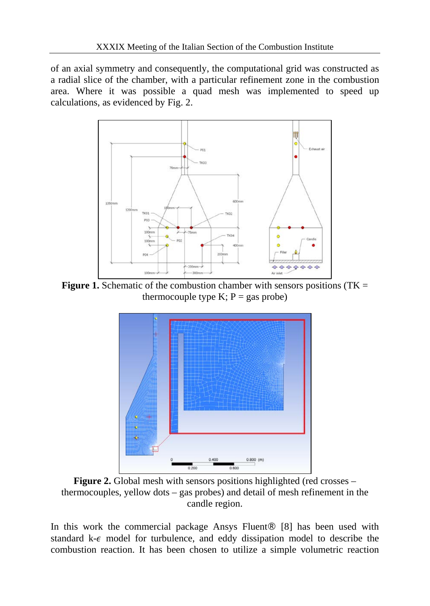of an axial symmetry and consequently, the computational grid was constructed as a radial slice of the chamber, with a particular refinement zone in the combustion area. Where it was possible a quad mesh was implemented to speed up calculations, as evidenced by Fig. 2.



**Figure 1.** Schematic of the combustion chamber with sensors positions (TK  $=$ thermocouple type K;  $P = gas$  probe)



**Figure 2.** Global mesh with sensors positions highlighted (red crosses – thermocouples, yellow dots – gas probes) and detail of mesh refinement in the candle region.

In this work the commercial package Ansys Fluent® [8] has been used with standard  $k-\epsilon$  model for turbulence, and eddy dissipation model to describe the combustion reaction. It has been chosen to utilize a simple volumetric reaction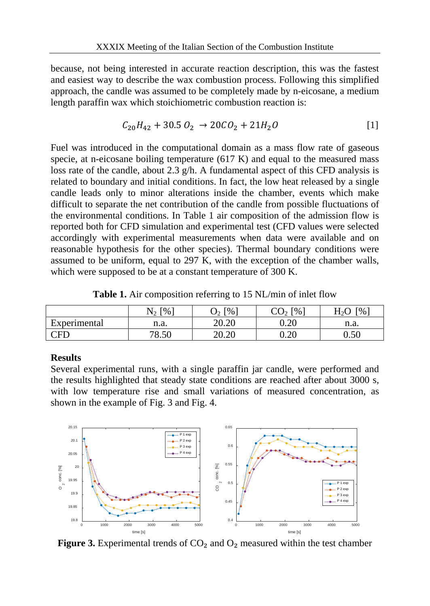because, not being interested in accurate reaction description, this was the fastest and easiest way to describe the wax combustion process. Following this simplified approach, the candle was assumed to be completely made by n-eicosane, a medium length paraffin wax which stoichiometric combustion reaction is:

$$
C_{20}H_{42} + 30.5 O_2 \rightarrow 20CO_2 + 21H_2O \tag{1}
$$

Fuel was introduced in the computational domain as a mass flow rate of gaseous specie, at n-eicosane boiling temperature (617 K) and equal to the measured mass loss rate of the candle, about 2.3 g/h. A fundamental aspect of this CFD analysis is related to boundary and initial conditions. In fact, the low heat released by a single candle leads only to minor alterations inside the chamber, events which make difficult to separate the net contribution of the candle from possible fluctuations of the environmental conditions. In Table 1 air composition of the admission flow is reported both for CFD simulation and experimental test (CFD values were selected accordingly with experimental measurements when data were available and on reasonable hypothesis for the other species). Thermal boundary conditions were assumed to be uniform, equal to 297 K, with the exception of the chamber walls, which were supposed to be at a constant temperature of 300 K.

|              | $\lceil \%$ | $\lceil\% \rceil$<br>دك | $\lceil\% \rceil$ | Г%<br>⊓∿ו |
|--------------|-------------|-------------------------|-------------------|-----------|
| Experimental | n.a.        | 20.20                   | $0.20\,$          | n.a.      |
| $\lnot$ FL   | '0.50       | 20.20                   | ∪.∠∪              | $0.50\,$  |

**Table 1.** Air composition referring to 15 NL/min of inlet flow

#### **Results**

Several experimental runs, with a single paraffin jar candle, were performed and the results highlighted that steady state conditions are reached after about 3000 s, with low temperature rise and small variations of measured concentration, as shown in the example of Fig. 3 and Fig. 4.



**Figure 3.** Experimental trends of  $CO<sub>2</sub>$  and  $O<sub>2</sub>$  measured within the test chamber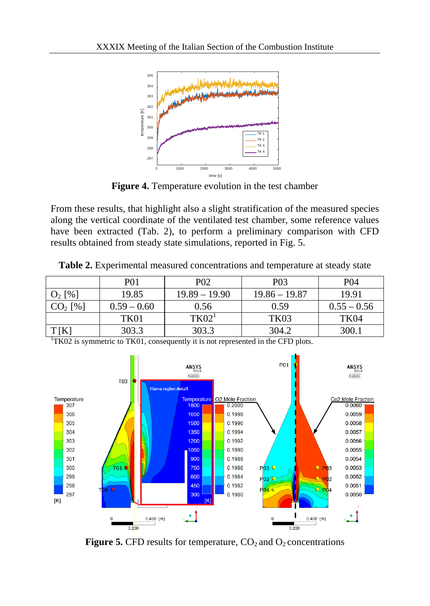

**Figure 4.** Temperature evolution in the test chamber

From these results, that highlight also a slight stratification of the measured species along the vertical coordinate of the ventilated test chamber, some reference values have been extracted (Tab. 2), to perform a preliminary comparison with CFD results obtained from steady state simulations, reported in Fig. 5.

**Table 2.** Experimental measured concentrations and temperature at steady state

|           | <b>P01</b>    | P <sub>0</sub> 2  | P <sub>0</sub> 3 | <b>P04</b>       |
|-----------|---------------|-------------------|------------------|------------------|
| $O_2$ [%] | 19.85         | $19.89 - 19.90$   | $19.86 - 19.87$  | 19.91            |
| $CO2$ [%] | $0.59 - 0.60$ | 0.56              | 0.59             | $0.55 - 0.56$    |
|           | TK01          | TK02 <sup>T</sup> | TK03             | TK <sub>04</sub> |
| T[K]      | 303.3         | 303.3             | 304.2            | 300.1            |



 $1$ <sup>1</sup>TK02 is symmetric to TK01, consequently it is not represented in the CFD plots.

**Figure 5.** CFD results for temperature,  $CO<sub>2</sub>$  and  $O<sub>2</sub>$  concentrations